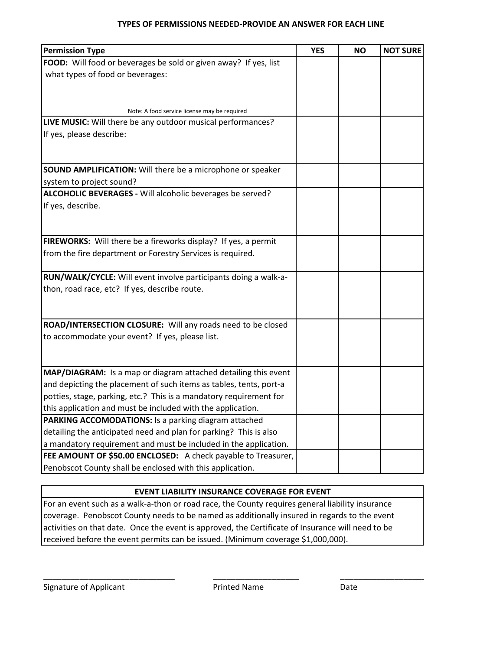## **TYPES OF PERMISSIONS NEEDED-PROVIDE AN ANSWER FOR EACH LINE**

| <b>Permission Type</b>                                             | <b>YES</b> | <b>NO</b> | <b>NOT SURE</b> |
|--------------------------------------------------------------------|------------|-----------|-----------------|
| FOOD: Will food or beverages be sold or given away? If yes, list   |            |           |                 |
| what types of food or beverages:                                   |            |           |                 |
|                                                                    |            |           |                 |
|                                                                    |            |           |                 |
| Note: A food service license may be required                       |            |           |                 |
| LIVE MUSIC: Will there be any outdoor musical performances?        |            |           |                 |
| If yes, please describe:                                           |            |           |                 |
|                                                                    |            |           |                 |
|                                                                    |            |           |                 |
| <b>SOUND AMPLIFICATION:</b> Will there be a microphone or speaker  |            |           |                 |
| system to project sound?                                           |            |           |                 |
| ALCOHOLIC BEVERAGES - Will alcoholic beverages be served?          |            |           |                 |
| If yes, describe.                                                  |            |           |                 |
|                                                                    |            |           |                 |
| FIREWORKS: Will there be a fireworks display? If yes, a permit     |            |           |                 |
| from the fire department or Forestry Services is required.         |            |           |                 |
|                                                                    |            |           |                 |
| RUN/WALK/CYCLE: Will event involve participants doing a walk-a-    |            |           |                 |
| thon, road race, etc? If yes, describe route.                      |            |           |                 |
|                                                                    |            |           |                 |
|                                                                    |            |           |                 |
| ROAD/INTERSECTION CLOSURE: Will any roads need to be closed        |            |           |                 |
| to accommodate your event? If yes, please list.                    |            |           |                 |
|                                                                    |            |           |                 |
|                                                                    |            |           |                 |
| MAP/DIAGRAM: Is a map or diagram attached detailing this event     |            |           |                 |
| and depicting the placement of such items as tables, tents, port-a |            |           |                 |
| potties, stage, parking, etc.? This is a mandatory requirement for |            |           |                 |
| this application and must be included with the application.        |            |           |                 |
| PARKING ACCOMODATIONS: Is a parking diagram attached               |            |           |                 |
| detailing the anticipated need and plan for parking? This is also  |            |           |                 |
| a mandatory requirement and must be included in the application.   |            |           |                 |
| FEE AMOUNT OF \$50.00 ENCLOSED: A check payable to Treasurer,      |            |           |                 |
| Penobscot County shall be enclosed with this application.          |            |           |                 |

## **EVENT LIABILITY INSURANCE COVERAGE FOR EVENT**

For an event such as a walk-a-thon or road race, the County requires general liability insurance coverage. Penobscot County needs to be named as additionally insured in regards to the event activities on that date. Once the event is approved, the Certificate of Insurance will need to be received before the event permits can be issued. (Minimum coverage \$1,000,000).

Signature of Applicant **Printed Name** Printed Name